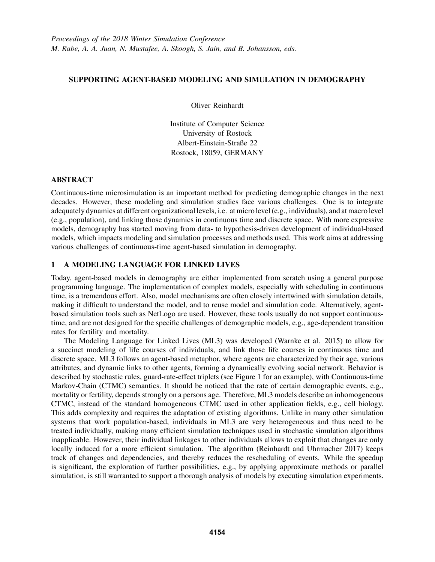## SUPPORTING AGENT-BASED MODELING AND SIMULATION IN DEMOGRAPHY

Oliver Reinhardt

Institute of Computer Science University of Rostock Albert-Einstein-Straße 22 Rostock, 18059, GERMANY

## ABSTRACT

Continuous-time microsimulation is an important method for predicting demographic changes in the next decades. However, these modeling and simulation studies face various challenges. One is to integrate adequately dynamics at different organizational levels, i.e. at micro level (e.g., individuals), and at macro level (e.g., population), and linking those dynamics in continuous time and discrete space. With more expressive models, demography has started moving from data- to hypothesis-driven development of individual-based models, which impacts modeling and simulation processes and methods used. This work aims at addressing various challenges of continuous-time agent-based simulation in demography.

# 1 A MODELING LANGUAGE FOR LINKED LIVES

Today, agent-based models in demography are either implemented from scratch using a general purpose programming language. The implementation of complex models, especially with scheduling in continuous time, is a tremendous effort. Also, model mechanisms are often closely intertwined with simulation details, making it difficult to understand the model, and to reuse model and simulation code. Alternatively, agentbased simulation tools such as NetLogo are used. However, these tools usually do not support continuoustime, and are not designed for the specific challenges of demographic models, e.g., age-dependent transition rates for fertility and mortality.

The Modeling Language for Linked Lives (ML3) was developed (Warnke et al. 2015) to allow for a succinct modeling of life courses of individuals, and link those life courses in continuous time and discrete space. ML3 follows an agent-based metaphor, where agents are characterized by their age, various attributes, and dynamic links to other agents, forming a dynamically evolving social network. Behavior is described by stochastic rules, guard-rate-effect triplets (see Figure 1 for an example), with Continuous-time Markov-Chain (CTMC) semantics. It should be noticed that the rate of certain demographic events, e.g., mortality or fertility, depends strongly on a persons age. Therefore, ML3 models describe an inhomogeneous CTMC, instead of the standard homogeneous CTMC used in other application fields, e.g., cell biology. This adds complexity and requires the adaptation of existing algorithms. Unlike in many other simulation systems that work population-based, individuals in ML3 are very heterogeneous and thus need to be treated individually, making many efficient simulation techniques used in stochastic simulation algorithms inapplicable. However, their individual linkages to other individuals allows to exploit that changes are only locally induced for a more efficient simulation. The algorithm (Reinhardt and Uhrmacher 2017) keeps track of changes and dependencies, and thereby reduces the rescheduling of events. While the speedup is significant, the exploration of further possibilities, e.g., by applying approximate methods or parallel simulation, is still warranted to support a thorough analysis of models by executing simulation experiments.